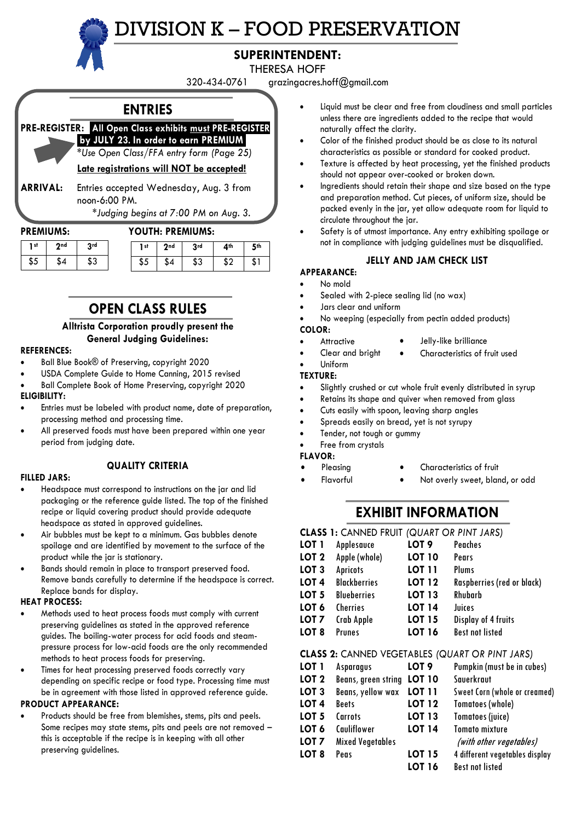# DIVISION K – FOOD PRESERVATION



# **SUPERINTENDENT:**

THERESA HOFF

320-434-0761 grazingacres.hoff@gmail.com

# **ENTRIES PRE-REGISTER:** .**All Open Class exhibits must PRE-REGISTER .by JULY 23***.* **In order to earn PREMIUM.** *\*Use Open Class/FFA entry form (Page 25)* **Late registrations will NOT be accepted! ARRIVAL:** Entries accepted Wednesday, Aug. 3 from noon-6:00 PM. *\*Judging begins at 7:00 PM on Aug. 3.*

# **PREMIUMS: YOUTH: PREMIUMS:**

| 1 <sup>st</sup> | 2nd | 2rd       | l st | 2 <sub>nd</sub> | 3rd | 4th |  |
|-----------------|-----|-----------|------|-----------------|-----|-----|--|
| \$5             |     | ¢۰<br>ن ك |      | ٢4              | ¢?  | S.  |  |

# **OPEN CLASS RULES**

# **Alltrista Corporation proudly present the General Judging Guidelines:**

## **REFERENCES:**

- Ball Blue Book® of Preserving, copyright 2020
- USDA Complete Guide to Home Canning, 2015 revised
- Ball Complete Book of Home Preserving, copyright 2020

# **ELIGIBILITY:**

- Entries must be labeled with product name, date of preparation, processing method and processing time.
- All preserved foods must have been prepared within one year period from judging date.

#### **FILLED JARS:**

• Headspace must correspond to instructions on the jar and lid packaging or the reference guide listed. The top of the finished recipe or liquid covering product should provide adequate

**QUALITY CRITERIA**

- headspace as stated in approved guidelines. • Air bubbles must be kept to a minimum. Gas bubbles denote spoilage and are identified by movement to the surface of the
- product while the jar is stationary. • Bands should remain in place to transport preserved food. Remove bands carefully to determine if the headspace is correct.
- Replace bands for display.

# **HEAT PROCESS:**

- Methods used to heat process foods must comply with current preserving guidelines as stated in the approved reference guides. The boiling-water process for acid foods and steampressure process for low-acid foods are the only recommended methods to heat process foods for preserving.
- Times for heat processing preserved foods correctly vary depending on specific recipe or food type. Processing time must be in agreement with those listed in approved reference guide.

# **PRODUCT APPEARANCE:**

• Products should be free from blemishes, stems, pits and peels. Some recipes may state stems, pits and peels are not removed – this is acceptable if the recipe is in keeping with all other preserving guidelines.

- Liquid must be clear and free from cloudiness and small particles unless there are ingredients added to the recipe that would naturally affect the clarity.
- Color of the finished product should be as close to its natural characteristics as possible or standard for cooked product.
- Texture is affected by heat processing, yet the finished products should not appear over-cooked or broken down.
- Ingredients should retain their shape and size based on the type and preparation method. Cut pieces, of uniform size, should be packed evenly in the jar, yet allow adequate room for liquid to circulate throughout the jar.
- Safety is of utmost importance. Any entry exhibiting spoilage or not in compliance with judging guidelines must be disqualified.

# **JELLY AND JAM CHECK LIST**

- **APPEARANCE:**
- No mold
- Sealed with 2-piece sealing lid (no wax)
- Jars clear and uniform
- No weeping (especially from pectin added products) **COLOR:**
- **Attractive**
- Jelly-like brilliance • Characteristics of fruit used
- Clear and bright • Uniform

# **TEXTURE:**

- Slightly crushed or cut whole fruit evenly distributed in syrup
- Retains its shape and quiver when removed from glass
- Cuts easily with spoon, leaving sharp angles
- Spreads easily on bread, yet is not syrupy
- Tender, not tough or gummy

# Free from crystals

# **FLAVOR:**

- Characteristics of fruit • Pleasing
- Not overly sweet, bland, or odd • Flavorful

# **EXHIBIT INFORMATION**

# **CLASS 1:** CANNED FRUIT *(QUART OR PINT JARS)*

| LOT 1            | Applesauce          | LOT <sub>9</sub> | Peaches                    |
|------------------|---------------------|------------------|----------------------------|
| LOT <sub>2</sub> | Apple (whole)       | <b>LOT 10</b>    | Pears                      |
| LOT <sub>3</sub> | <b>Apricots</b>     | <b>LOT 11</b>    | Plums                      |
| LOT <sub>4</sub> | <b>Blackberries</b> | <b>LOT 12</b>    | Raspberries (red or black) |
| LOT <sub>5</sub> | <b>Blueberries</b>  | <b>LOT 13</b>    | Rhubarb                    |
| LOT <sub>6</sub> | <b>Cherries</b>     | <b>LOT 14</b>    | Juices                     |
| LOT 7            | Crab Apple          | <b>LOT 15</b>    | Display of 4 fruits        |
| LOT <sub>8</sub> | <b>Prunes</b>       | <b>LOT 16</b>    | <b>Best not listed</b>     |
|                  |                     |                  |                            |

# **CLASS 2:** CANNED VEGETABLES *(QUART OR PINT JARS)*

| LOT 1            | Asparagus                  | LOT <sub>9</sub> | Pumpkin (must be in cubes)     |
|------------------|----------------------------|------------------|--------------------------------|
| LOT <sub>2</sub> | Beans, green string LOT 10 |                  | Sauerkraut                     |
| LOT <sub>3</sub> | Beans, yellow wax          | <b>LOT 11</b>    | Sweet Corn (whole or creamed)  |
| LOT <sub>4</sub> | <b>Beets</b>               | <b>LOT 12</b>    | <b>Tomatoes (whole)</b>        |
| LOT <sub>5</sub> | Carrots                    | <b>LOT 13</b>    | <b>Tomatoes (juice)</b>        |
| LOT <sub>6</sub> | Cauliflower                | <b>LOT 14</b>    | <b>Tomato mixture</b>          |
| LOT <sub>7</sub> | <b>Mixed Vegetables</b>    |                  | (with other vegetables)        |
| LOT <sub>8</sub> | Peas                       | <b>LOT 15</b>    | 4 different vegetables display |
|                  |                            | <b>LOT 16</b>    | <b>Best not listed</b>         |